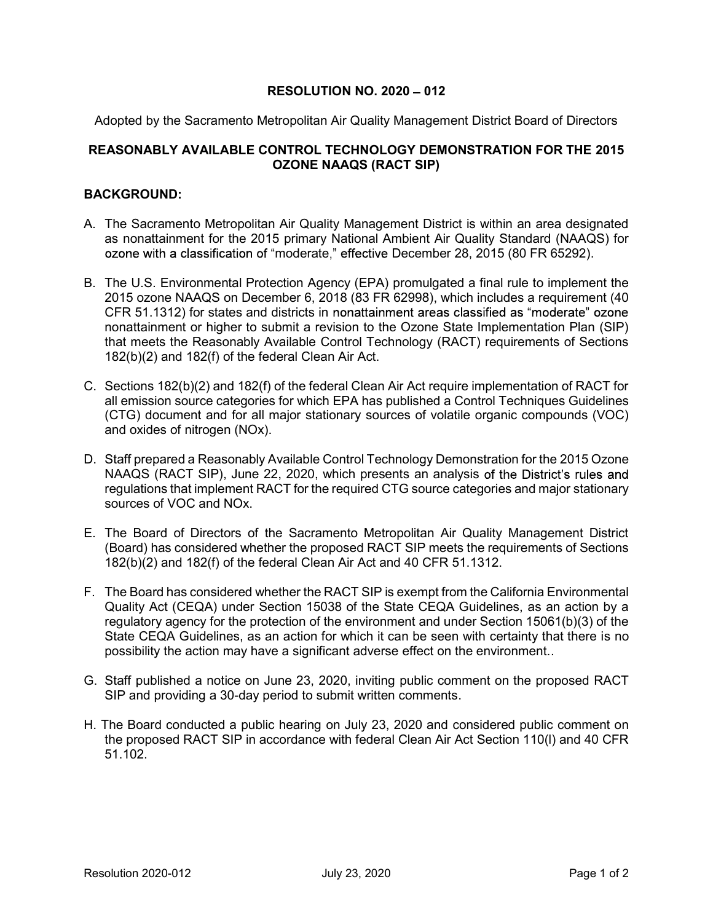## RESOLUTION NO.  $2020 - 012$

Adopted by the Sacramento Metropolitan Air Quality Management District Board of Directors

## REASONABLY AVAILABLE CONTROL TECHNOLOGY DEMONSTRATION FOR THE 2015 OZONE NAAQS (RACT SIP)

## BACKGROUND:

- A. The Sacramento Metropolitan Air Quality Management District is within an area designated as nonattainment for the 2015 primary National Ambient Air Quality Standard (NAAQS) for ozone with a classification of "moderate," effective December 28, 2015 (80 FR 65292).
- B. The U.S. Environmental Protection Agency (EPA) promulgated a final rule to implement the 2015 ozone NAAQS on December 6, 2018 (83 FR 62998), which includes a requirement (40 CFR 51.1312) for states and districts in nonattainment areas classified as "moderate" ozone nonattainment or higher to submit a revision to the Ozone State Implementation Plan (SIP) that meets the Reasonably Available Control Technology (RACT) requirements of Sections 182(b)(2) and 182(f) of the federal Clean Air Act.
- C. Sections 182(b)(2) and 182(f) of the federal Clean Air Act require implementation of RACT for all emission source categories for which EPA has published a Control Techniques Guidelines (CTG) document and for all major stationary sources of volatile organic compounds (VOC) and oxides of nitrogen (NOx).
- D. Staff prepared a Reasonably Available Control Technology Demonstration for the 2015 Ozone NAAQS (RACT SIP), June 22, 2020, which presents an analysis of the District's rules and regulations that implement RACT for the required CTG source categories and major stationary sources of VOC and NOx.
- E. The Board of Directors of the Sacramento Metropolitan Air Quality Management District (Board) has considered whether the proposed RACT SIP meets the requirements of Sections 182(b)(2) and 182(f) of the federal Clean Air Act and 40 CFR 51.1312.
- F. The Board has considered whether the RACT SIP is exempt from the California Environmental Quality Act (CEQA) under Section 15038 of the State CEQA Guidelines, as an action by a regulatory agency for the protection of the environment and under Section 15061(b)(3) of the State CEQA Guidelines, as an action for which it can be seen with certainty that there is no possibility the action may have a significant adverse effect on the environment..
- G. Staff published a notice on June 23, 2020, inviting public comment on the proposed RACT SIP and providing a 30-day period to submit written comments.
- H. The Board conducted a public hearing on July 23, 2020 and considered public comment on the proposed RACT SIP in accordance with federal Clean Air Act Section 110(l) and 40 CFR 51.102.